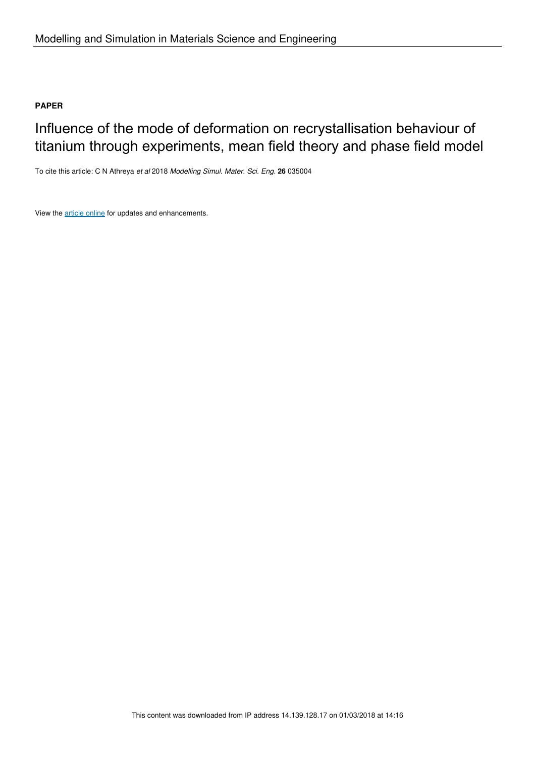### **PAPER**

## Influence of the mode of deformation on recrystallisation behaviour of titanium through experiments, mean field theory and phase field model

To cite this article: C N Athreya et al 2018 Modelling Simul. Mater. Sci. Eng. **26** 035004

View the article online for updates and enhancements.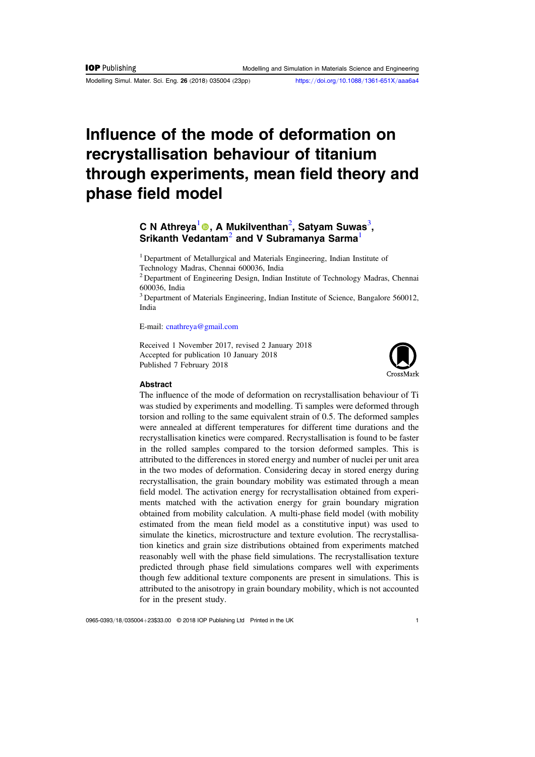Modelling Simul. Mater. Sci. Eng. 26 (2018) 035004 (23pp) https://doi.org/10.1088/1361-651X/aaa6a4

# Influence of the mode of deformation on recrystallisation behaviour of titanium through experiments, mean field theory and phase field model

## C N Athreya $^1$ ®, A Mukilventhan $^2$ , Satyam Suwas $^3,$ Srikanth Vedantam<sup>2</sup> and V Subramanya Sarma<sup>1</sup>

<sup>1</sup> Department of Metallurgical and Materials Engineering, Indian Institute of Technology Madras, Chennai 600036, India

<sup>2</sup> Department of Engineering Design, Indian Institute of Technology Madras, Chennai 600036, India

<sup>3</sup> Department of Materials Engineering, Indian Institute of Science, Bangalore 560012, India

E-mail: cnathreya@gmail.com

Received 1 November 2017, revised 2 January 2018 Accepted for publication 10 January 2018 Published 7 February 2018



#### Abstract

The influence of the mode of deformation on recrystallisation behaviour of Ti was studied by experiments and modelling. Ti samples were deformed through torsion and rolling to the same equivalent strain of 0.5. The deformed samples were annealed at different temperatures for different time durations and the recrystallisation kinetics were compared. Recrystallisation is found to be faster in the rolled samples compared to the torsion deformed samples. This is attributed to the differences in stored energy and number of nuclei per unit area in the two modes of deformation. Considering decay in stored energy during recrystallisation, the grain boundary mobility was estimated through a mean field model. The activation energy for recrystallisation obtained from experiments matched with the activation energy for grain boundary migration obtained from mobility calculation. A multi-phase field model (with mobility estimated from the mean field model as a constitutive input) was used to simulate the kinetics, microstructure and texture evolution. The recrystallisation kinetics and grain size distributions obtained from experiments matched reasonably well with the phase field simulations. The recrystallisation texture predicted through phase field simulations compares well with experiments though few additional texture components are present in simulations. This is attributed to the anisotropy in grain boundary mobility, which is not accounted for in the present study.

0965-0393/18/035004+23\$33.00 © 2018 IOP Publishing Ltd Printed in the UK 1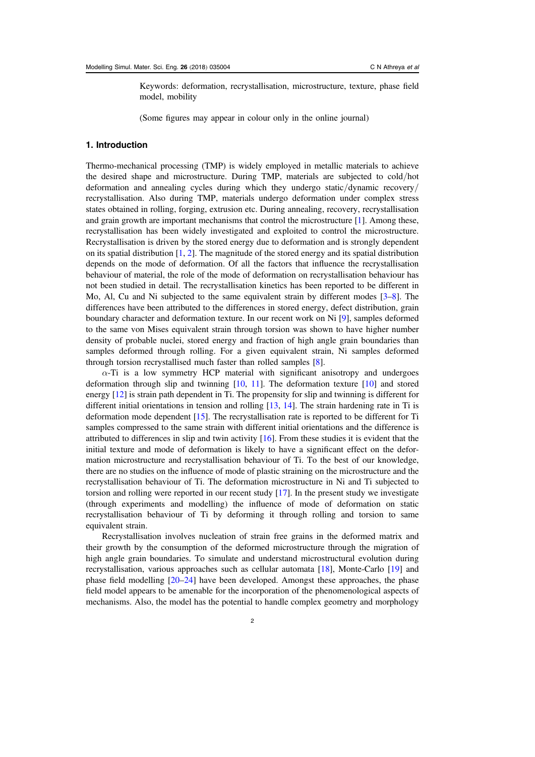Keywords: deformation, recrystallisation, microstructure, texture, phase field model, mobility

(Some figures may appear in colour only in the online journal)

#### 1. Introduction

Thermo-mechanical processing (TMP) is widely employed in metallic materials to achieve the desired shape and microstructure. During TMP, materials are subjected to cold/hot deformation and annealing cycles during which they undergo static/dynamic recovery/ recrystallisation. Also during TMP, materials undergo deformation under complex stress states obtained in rolling, forging, extrusion etc. During annealing, recovery, recrystallisation and grain growth are important mechanisms that control the microstructure [1]. Among these, recrystallisation has been widely investigated and exploited to control the microstructure. Recrystallisation is driven by the stored energy due to deformation and is strongly dependent on its spatial distribution [1, 2]. The magnitude of the stored energy and its spatial distribution depends on the mode of deformation. Of all the factors that influence the recrystallisation behaviour of material, the role of the mode of deformation on recrystallisation behaviour has not been studied in detail. The recrystallisation kinetics has been reported to be different in Mo, Al, Cu and Ni subjected to the same equivalent strain by different modes [3–8]. The differences have been attributed to the differences in stored energy, defect distribution, grain boundary character and deformation texture. In our recent work on Ni [9], samples deformed to the same von Mises equivalent strain through torsion was shown to have higher number density of probable nuclei, stored energy and fraction of high angle grain boundaries than samples deformed through rolling. For a given equivalent strain, Ni samples deformed through torsion recrystallised much faster than rolled samples [8].

 $\alpha$ -Ti is a low symmetry HCP material with significant anisotropy and undergoes deformation through slip and twinning [10, 11]. The deformation texture [10] and stored energy [12] is strain path dependent in Ti. The propensity for slip and twinning is different for different initial orientations in tension and rolling [13, 14]. The strain hardening rate in Ti is deformation mode dependent [15]. The recrystallisation rate is reported to be different for Ti samples compressed to the same strain with different initial orientations and the difference is attributed to differences in slip and twin activity [16]. From these studies it is evident that the initial texture and mode of deformation is likely to have a significant effect on the deformation microstructure and recrystallisation behaviour of Ti. To the best of our knowledge, there are no studies on the influence of mode of plastic straining on the microstructure and the recrystallisation behaviour of Ti. The deformation microstructure in Ni and Ti subjected to torsion and rolling were reported in our recent study [17]. In the present study we investigate (through experiments and modelling) the influence of mode of deformation on static recrystallisation behaviour of Ti by deforming it through rolling and torsion to same equivalent strain.

Recrystallisation involves nucleation of strain free grains in the deformed matrix and their growth by the consumption of the deformed microstructure through the migration of high angle grain boundaries. To simulate and understand microstructural evolution during recrystallisation, various approaches such as cellular automata [18], Monte-Carlo [19] and phase field modelling  $[20-24]$  have been developed. Amongst these approaches, the phase field model appears to be amenable for the incorporation of the phenomenological aspects of mechanisms. Also, the model has the potential to handle complex geometry and morphology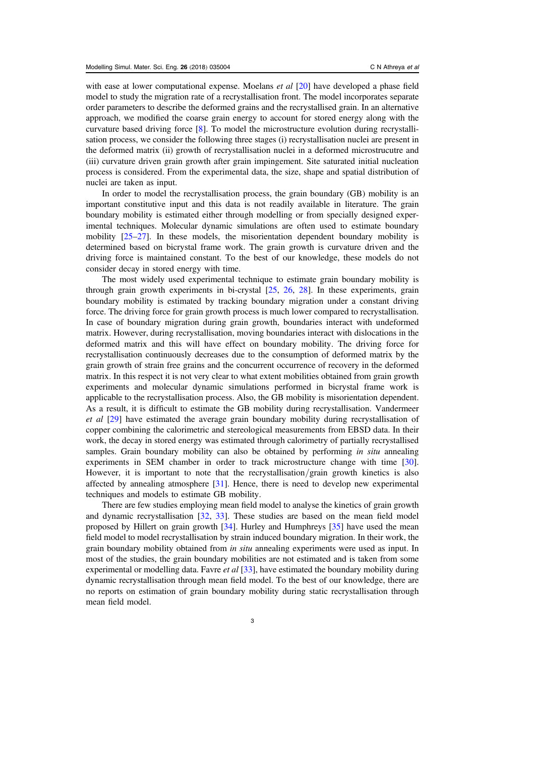with ease at lower computational expense. Moelans *et al* [20] have developed a phase field model to study the migration rate of a recrystallisation front. The model incorporates separate order parameters to describe the deformed grains and the recrystallised grain. In an alternative approach, we modified the coarse grain energy to account for stored energy along with the curvature based driving force [8]. To model the microstructure evolution during recrystallisation process, we consider the following three stages (i) recrystallisation nuclei are present in the deformed matrix (ii) growth of recrystallisation nuclei in a deformed microstrucutre and (iii) curvature driven grain growth after grain impingement. Site saturated initial nucleation process is considered. From the experimental data, the size, shape and spatial distribution of nuclei are taken as input.

In order to model the recrystallisation process, the grain boundary (GB) mobility is an important constitutive input and this data is not readily available in literature. The grain boundary mobility is estimated either through modelling or from specially designed experimental techniques. Molecular dynamic simulations are often used to estimate boundary mobility [25–27]. In these models, the misorientation dependent boundary mobility is determined based on bicrystal frame work. The grain growth is curvature driven and the driving force is maintained constant. To the best of our knowledge, these models do not consider decay in stored energy with time.

The most widely used experimental technique to estimate grain boundary mobility is through grain growth experiments in bi-crystal [25, 26, 28]. In these experiments, grain boundary mobility is estimated by tracking boundary migration under a constant driving force. The driving force for grain growth process is much lower compared to recrystallisation. In case of boundary migration during grain growth, boundaries interact with undeformed matrix. However, during recrystallisation, moving boundaries interact with dislocations in the deformed matrix and this will have effect on boundary mobility. The driving force for recrystallisation continuously decreases due to the consumption of deformed matrix by the grain growth of strain free grains and the concurrent occurrence of recovery in the deformed matrix. In this respect it is not very clear to what extent mobilities obtained from grain growth experiments and molecular dynamic simulations performed in bicrystal frame work is applicable to the recrystallisation process. Also, the GB mobility is misorientation dependent. As a result, it is difficult to estimate the GB mobility during recrystallisation. Vandermeer *et al* [29] have estimated the average grain boundary mobility during recrystallisation of copper combining the calorimetric and stereological measurements from EBSD data. In their work, the decay in stored energy was estimated through calorimetry of partially recrystallised samples. Grain boundary mobility can also be obtained by performing *in situ* annealing experiments in SEM chamber in order to track microstructure change with time [30]. However, it is important to note that the recrystallisation/grain growth kinetics is also affected by annealing atmosphere [31]. Hence, there is need to develop new experimental techniques and models to estimate GB mobility.

There are few studies employing mean field model to analyse the kinetics of grain growth and dynamic recrystallisation [32, 33]. These studies are based on the mean field model proposed by Hillert on grain growth [34]. Hurley and Humphreys [35] have used the mean field model to model recrystallisation by strain induced boundary migration. In their work, the grain boundary mobility obtained from *in situ* annealing experiments were used as input. In most of the studies, the grain boundary mobilities are not estimated and is taken from some experimental or modelling data. Favre *et al* [33], have estimated the boundary mobility during dynamic recrystallisation through mean field model. To the best of our knowledge, there are no reports on estimation of grain boundary mobility during static recrystallisation through mean field model.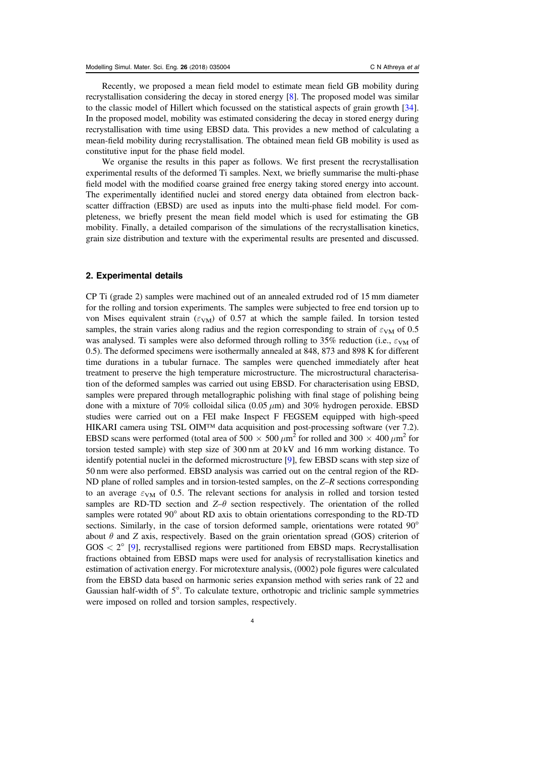Recently, we proposed a mean field model to estimate mean field GB mobility during recrystallisation considering the decay in stored energy [8]. The proposed model was similar to the classic model of Hillert which focussed on the statistical aspects of grain growth [34]. In the proposed model, mobility was estimated considering the decay in stored energy during recrystallisation with time using EBSD data. This provides a new method of calculating a mean-field mobility during recrystallisation. The obtained mean field GB mobility is used as constitutive input for the phase field model.

We organise the results in this paper as follows. We first present the recrystallisation experimental results of the deformed Ti samples. Next, we briefly summarise the multi-phase field model with the modified coarse grained free energy taking stored energy into account. The experimentally identified nuclei and stored energy data obtained from electron backscatter diffraction (EBSD) are used as inputs into the multi-phase field model. For completeness, we briefly present the mean field model which is used for estimating the GB mobility. Finally, a detailed comparison of the simulations of the recrystallisation kinetics, grain size distribution and texture with the experimental results are presented and discussed.

#### 2. Experimental details

CP Ti (grade 2) samples were machined out of an annealed extruded rod of 15 mm diameter for the rolling and torsion experiments. The samples were subjected to free end torsion up to von Mises equivalent strain ( $\varepsilon_{VM}$ ) of 0.57 at which the sample failed. In torsion tested samples, the strain varies along radius and the region corresponding to strain of  $\varepsilon_{VM}$  of 0.5 was analysed. Ti samples were also deformed through rolling to 35% reduction (i.e.,  $\varepsilon_{VM}$  of 0.5). The deformed specimens were isothermally annealed at 848, 873 and 898 K for different time durations in a tubular furnace. The samples were quenched immediately after heat treatment to preserve the high temperature microstructure. The microstructural characterisation of the deformed samples was carried out using EBSD. For characterisation using EBSD, samples were prepared through metallographic polishing with final stage of polishing being done with a mixture of 70% colloidal silica  $(0.05 \,\mu\text{m})$  and 30% hydrogen peroxide. EBSD studies were carried out on a FEI make Inspect F FEGSEM equipped with high-speed HIKARI camera using TSL OIM™ data acquisition and post-processing software (ver 7.2). EBSD scans were performed (total area of 500  $\times$  500  $\mu$ m<sup>2</sup> for rolled and 300  $\times$  400  $\mu$ m<sup>2</sup> for torsion tested sample) with step size of 300 nm at 20 kV and 16 mm working distance. To identify potential nuclei in the deformed microstructure [9], few EBSD scans with step size of 50 nm were also performed. EBSD analysis was carried out on the central region of the RD-ND plane of rolled samples and in torsion-tested samples, on the *Z*–*R* sections corresponding to an average  $\varepsilon_{VM}$  of 0.5. The relevant sections for analysis in rolled and torsion tested samples are RD-TD section and  $Z-\theta$  section respectively. The orientation of the rolled samples were rotated 90° about RD axis to obtain orientations corresponding to the RD-TD sections. Similarly, in the case of torsion deformed sample, orientations were rotated 90° about  $\theta$  and *Z* axis, respectively. Based on the grain orientation spread (GOS) criterion of  $GOS < 2^{\circ}$  [9], recrystallised regions were partitioned from EBSD maps. Recrystallisation fractions obtained from EBSD maps were used for analysis of recrystallisation kinetics and estimation of activation energy. For microtexture analysis, (0002) pole figures were calculated from the EBSD data based on harmonic series expansion method with series rank of 22 and Gaussian half-width of 5°. To calculate texture, orthotropic and triclinic sample symmetries were imposed on rolled and torsion samples, respectively.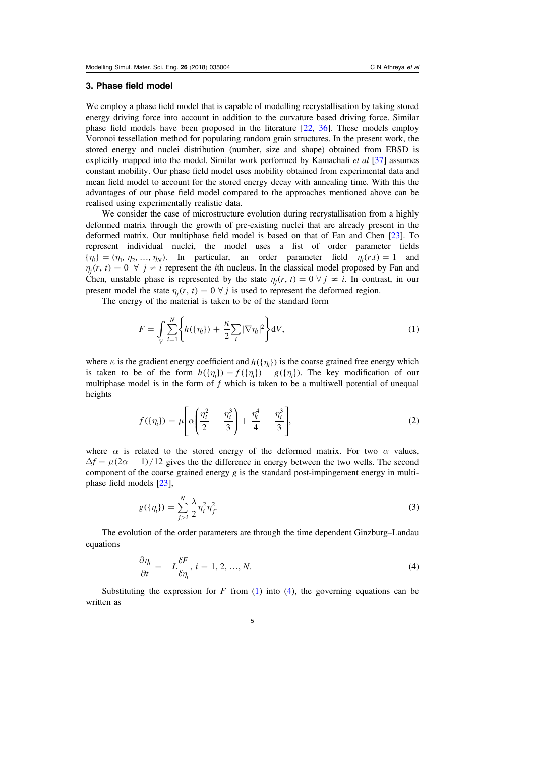#### 3. Phase field model

We employ a phase field model that is capable of modelling recrystallisation by taking stored energy driving force into account in addition to the curvature based driving force. Similar phase field models have been proposed in the literature [22, 36]. These models employ Voronoi tessellation method for populating random grain structures. In the present work, the stored energy and nuclei distribution (number, size and shape) obtained from EBSD is explicitly mapped into the model. Similar work performed by Kamachali *et al* [37] assumes constant mobility. Our phase field model uses mobility obtained from experimental data and mean field model to account for the stored energy decay with annealing time. With this the advantages of our phase field model compared to the approaches mentioned above can be realised using experimentally realistic data.

We consider the case of microstructure evolution during recrystallisation from a highly deformed matrix through the growth of pre-existing nuclei that are already present in the deformed matrix. Our multiphase field model is based on that of Fan and Chen [23]. To represent individual nuclei, the model uses a list of order parameter fields  $\{\eta_i\} = (\eta_1, \eta_2, \dots, \eta_N)$ . In particular, an order parameter field  $\eta_i(r.t) = 1$  and  $\eta_j(r, t) = 0 \ \forall \ j \neq i$  represent the *i*th nucleus. In the classical model proposed by Fan and Chen, unstable phase is represented by the state  $\eta_j(r, t) = 0 \ \forall j \neq i$ . In contrast, in our present model the state  $\eta_j(r, t) = 0 \ \forall j$  is used to represent the deformed region.

The energy of the material is taken to be of the standard form

$$
F = \int_{V} \sum_{i=1}^{N} \left\{ h(\{\eta_i\}) + \frac{\kappa}{2} \sum_{i} |\nabla \eta_i|^2 \right\} dV, \tag{1}
$$

where  $\kappa$  is the gradient energy coefficient and  $h(\{\eta_i\})$  is the coarse grained free energy which is taken to be of the form  $h({\eta_i}) = f({\eta_i}) + g({\eta_i})$ . The key modification of our multiphase model is in the form of  $f$  which is taken to be a multiwell potential of unequal heights

$$
f(\{\eta_i\}) = \mu \left[ \alpha \left( \frac{\eta_i^2}{2} - \frac{\eta_i^3}{3} \right) + \frac{\eta_i^4}{4} - \frac{\eta_i^3}{3} \right],\tag{2}
$$

where  $\alpha$  is related to the stored energy of the deformed matrix. For two  $\alpha$  values,  $\Delta f = \mu (2\alpha - 1)/12$  gives the the difference in energy between the two wells. The second component of the coarse grained energy *g* is the standard post-impingement energy in multiphase field models [23],

$$
g(\{\eta_i\}) = \sum_{j>i}^N \frac{\lambda}{2} \eta_i^2 \eta_j^2. \tag{3}
$$

The evolution of the order parameters are through the time dependent Ginzburg–Landau equations

$$
\frac{\partial \eta_i}{\partial t} = -L \frac{\delta F}{\delta \eta_i}, \quad i = 1, 2, ..., N. \tag{4}
$$

Substituting the expression for  $F$  from  $(1)$  into  $(4)$ , the governing equations can be written as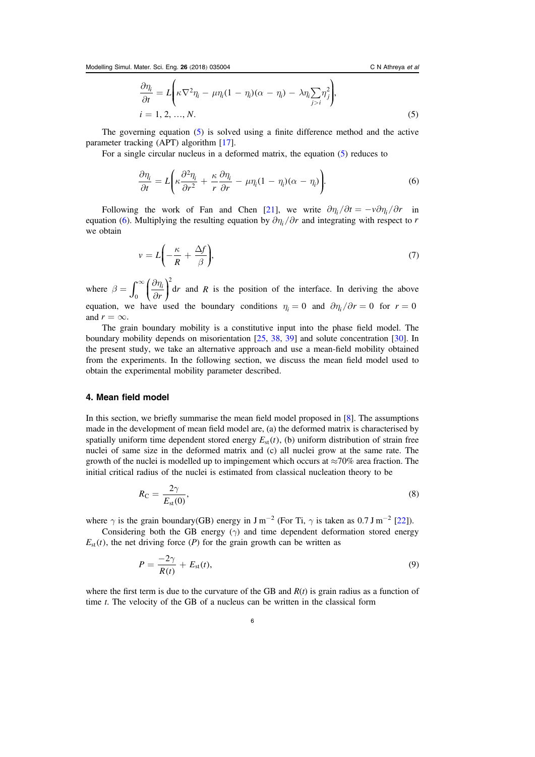$$
\frac{\partial \eta_i}{\partial t} = L \bigg( \kappa \nabla^2 \eta_i - \mu \eta_i (1 - \eta_i) (\alpha - \eta_i) - \lambda \eta_i \sum_{j>i} \eta_j^2 \bigg),
$$
  
  $i = 1, 2, ..., N.$  (5)

The governing equation (5) is solved using a finite difference method and the active parameter tracking (APT) algorithm [17].

For a single circular nucleus in a deformed matrix, the equation (5) reduces to

$$
\frac{\partial \eta_i}{\partial t} = L \bigg( \kappa \frac{\partial^2 \eta_i}{\partial r^2} + \frac{\kappa}{r} \frac{\partial \eta_i}{\partial r} - \mu \eta_i (1 - \eta_i) (\alpha - \eta_i) \bigg). \tag{6}
$$

Following the work of Fan and Chen [21], we write  $\frac{\partial \eta_i}{\partial t} = -\frac{v \partial \eta_i}{\partial r}$  in equation (6). Multiplying the resulting equation by  $\partial \eta_i / \partial r$  and integrating with respect to *r* we obtain

$$
v = L\left(-\frac{\kappa}{R} + \frac{\Delta f}{\beta}\right),\tag{7}
$$

where  $\beta = \int_0^\infty \left( \frac{\partial \eta_i}{\partial r} \right) dr$  $\boldsymbol{0}$ 2  $\beta = \int_0^\infty \left( \frac{\partial \eta}{\partial r} \right)$  $\partial$  $\infty$   $\bigcap$ ⎝ ⎜ ⎞  $\int dr$  and *R* is the position of the interface. In deriving the above equation, we have used the boundary conditions  $\eta_i = 0$  and  $\partial \eta_i / \partial r = 0$  for  $r = 0$ and  $r = \infty$ .

The grain boundary mobility is a constitutive input into the phase field model. The boundary mobility depends on misorientation [25, 38, 39] and solute concentration [30]. In the present study, we take an alternative approach and use a mean-field mobility obtained from the experiments. In the following section, we discuss the mean field model used to obtain the experimental mobility parameter described.

#### 4. Mean field model

In this section, we briefly summarise the mean field model proposed in [8]. The assumptions made in the development of mean field model are, (a) the deformed matrix is characterised by spatially uniform time dependent stored energy  $E_{\rm st}(t)$ , (b) uniform distribution of strain free nuclei of same size in the deformed matrix and (c) all nuclei grow at the same rate. The growth of the nuclei is modelled up to impingement which occurs at  $\approx$ 70% area fraction. The initial critical radius of the nuclei is estimated from classical nucleation theory to be

$$
R_{\rm C} = \frac{2\gamma}{E_{\rm st}(0)},\tag{8}
$$

where  $\gamma$  is the grain boundary(GB) energy in J m<sup>-2</sup> (For Ti,  $\gamma$  is taken as 0.7 J m<sup>-2</sup> [22]).

Considering both the GB energy  $(\gamma)$  and time dependent deformation stored energy  $E_{\text{st}}(t)$ , the net driving force (*P*) for the grain growth can be written as

$$
P = \frac{-2\gamma}{R(t)} + E_{\rm st}(t),\tag{9}
$$

where the first term is due to the curvature of the GB and  $R(t)$  is grain radius as a function of time *t*. The velocity of the GB of a nucleus can be written in the classical form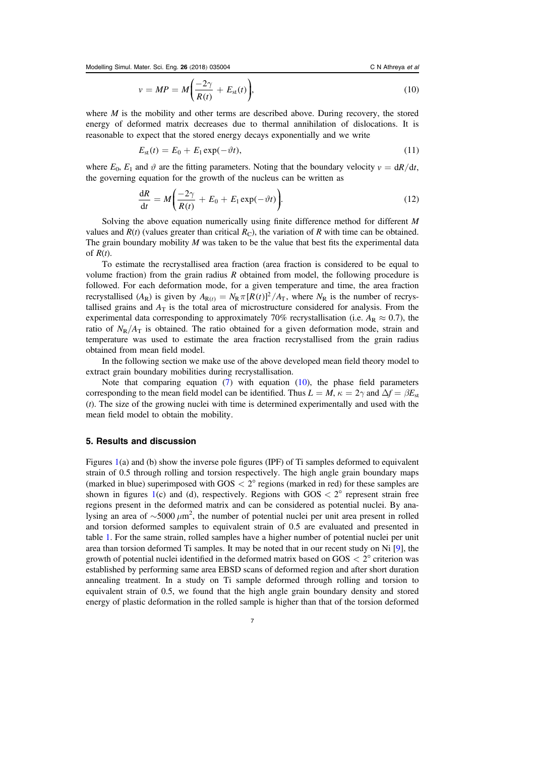Modelling Simul. Mater. Sci. Eng. 26 (2018) 035004 C N Athreya et al.

$$
v = MP = M \bigg( \frac{-2\gamma}{R(t)} + E_{\text{st}}(t) \bigg), \tag{10}
$$

where *M* is the mobility and other terms are described above. During recovery, the stored energy of deformed matrix decreases due to thermal annihilation of dislocations. It is reasonable to expect that the stored energy decays exponentially and we write

$$
E_{\rm st}(t) = E_0 + E_1 \exp(-\vartheta t),\tag{11}
$$

where  $E_0$ ,  $E_1$  and  $\vartheta$  are the fitting parameters. Noting that the boundary velocity  $v = dR/dt$ , the governing equation for the growth of the nucleus can be written as

$$
\frac{dR}{dt} = M \bigg( \frac{-2\gamma}{R(t)} + E_0 + E_1 \exp(-\vartheta t) \bigg). \tag{12}
$$

Solving the above equation numerically using finite difference method for different *M* values and  $R(t)$  (values greater than critical  $R_C$ ), the variation of R with time can be obtained. The grain boundary mobility *M* was taken to be the value that best fits the experimental data of *R*(*t*).

To estimate the recrystallised area fraction (area fraction is considered to be equal to volume fraction) from the grain radius *R* obtained from model, the following procedure is followed. For each deformation mode, for a given temperature and time, the area fraction recrystallised ( $A_R$ ) is given by  $A_{R(t)} = N_R \pi [R(t)]^2 / A_T$ , where  $N_R$  is the number of recrystallised grains and  $A_T$  is the total area of microstructure considered for analysis. From the experimental data corresponding to approximately 70% recrystallisation (i.e.  $A_R \approx 0.7$ ), the ratio of  $N_R/A_T$  is obtained. The ratio obtained for a given deformation mode, strain and temperature was used to estimate the area fraction recrystallised from the grain radius obtained from mean field model.

In the following section we make use of the above developed mean field theory model to extract grain boundary mobilities during recrystallisation.

Note that comparing equation (7) with equation (10), the phase field parameters corresponding to the mean field model can be identified. Thus  $L = M$ ,  $\kappa = 2\gamma$  and  $\Delta f = \beta E_{st}$ (*t*). The size of the growing nuclei with time is determined experimentally and used with the mean field model to obtain the mobility.

#### 5. Results and discussion

Figures 1(a) and (b) show the inverse pole figures (IPF) of Ti samples deformed to equivalent strain of 0.5 through rolling and torsion respectively. The high angle grain boundary maps (marked in blue) superimposed with GOS  $\lt 2^\circ$  regions (marked in red) for these samples are shown in figures 1(c) and (d), respectively. Regions with GOS  $\lt 2^\circ$  represent strain free regions present in the deformed matrix and can be considered as potential nuclei. By analysing an area of  $\sim$ 5000  $\mu$ m<sup>2</sup>, the number of potential nuclei per unit area present in rolled and torsion deformed samples to equivalent strain of 0.5 are evaluated and presented in table 1. For the same strain, rolled samples have a higher number of potential nuclei per unit area than torsion deformed Ti samples. It may be noted that in our recent study on Ni [9], the growth of potential nuclei identified in the deformed matrix based on  $GOS < 2^{\circ}$  criterion was established by performing same area EBSD scans of deformed region and after short duration annealing treatment. In a study on Ti sample deformed through rolling and torsion to equivalent strain of 0.5, we found that the high angle grain boundary density and stored energy of plastic deformation in the rolled sample is higher than that of the torsion deformed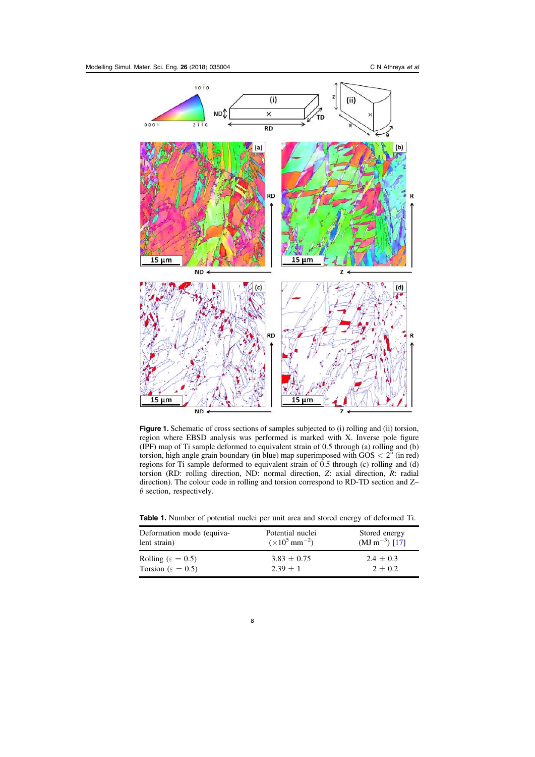

Figure 1. Schematic of cross sections of samples subjected to (i) rolling and (ii) torsion, region where EBSD analysis was performed is marked with X. Inverse pole figure (IPF) map of Ti sample deformed to equivalent strain of 0.5 through (a) rolling and (b) torsion, high angle grain boundary (in blue) map superimposed with  $GOS < 2^{\circ}$  (in red) regions for Ti sample deformed to equivalent strain of 0.5 through (c) rolling and (d) torsion (RD: rolling direction, ND: normal direction, *Z*: axial direction, *R*: radial direction). The colour code in rolling and torsion correspond to RD-TD section and Z–  $\theta$  section, respectively.

Table 1. Number of potential nuclei per unit area and stored energy of deformed Ti.

| Deformation mode (equiva-       | Potential nuclei                | Stored energy       |
|---------------------------------|---------------------------------|---------------------|
| lent strain)                    | $(\times 10^5 \text{ mm}^{-2})$ | $(MJ\,m^{-3})$ [17] |
| Rolling ( $\varepsilon = 0.5$ ) | $3.83 \pm 0.75$                 | $2.4 \pm 0.3$       |
| Torsion ( $\varepsilon = 0.5$ ) | $2.39 + 1$                      | $2 + 0.2$           |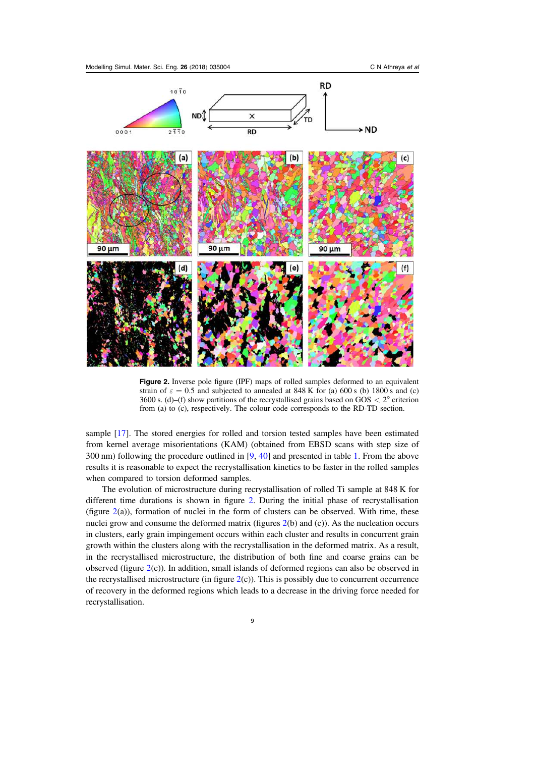

Figure 2. Inverse pole figure (IPF) maps of rolled samples deformed to an equivalent strain of  $\varepsilon = 0.5$  and subjected to annealed at 848 K for (a) 600 s (b) 1800 s and (c) 3600 s. (d)–(f) show partitions of the recrystallised grains based on GOS  $\langle 2^{\circ}$  criterion from (a) to (c), respectively. The colour code corresponds to the RD-TD section.

sample [17]. The stored energies for rolled and torsion tested samples have been estimated from kernel average misorientations (KAM) (obtained from EBSD scans with step size of 300 nm) following the procedure outlined in [9, 40] and presented in table 1. From the above results it is reasonable to expect the recrystallisation kinetics to be faster in the rolled samples when compared to torsion deformed samples.

The evolution of microstructure during recrystallisation of rolled Ti sample at 848 K for different time durations is shown in figure 2. During the initial phase of recrystallisation (figure 2(a)), formation of nuclei in the form of clusters can be observed. With time, these nuclei grow and consume the deformed matrix (figures 2(b) and (c)). As the nucleation occurs in clusters, early grain impingement occurs within each cluster and results in concurrent grain growth within the clusters along with the recrystallisation in the deformed matrix. As a result, in the recrystallised microstructure, the distribution of both fine and coarse grains can be observed (figure 2(c)). In addition, small islands of deformed regions can also be observed in the recrystallised microstructure (in figure  $2(c)$ ). This is possibly due to concurrent occurrence of recovery in the deformed regions which leads to a decrease in the driving force needed for recrystallisation.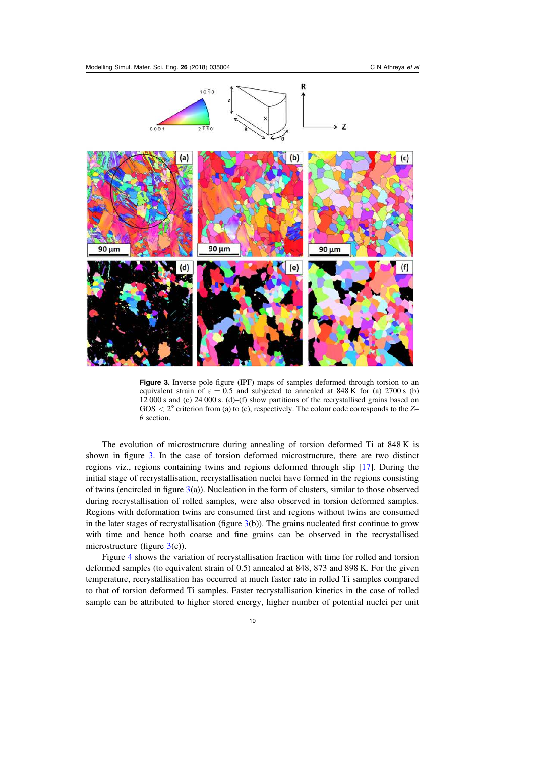

Figure 3. Inverse pole figure (IPF) maps of samples deformed through torsion to an equivalent strain of  $\varepsilon = 0.5$  and subjected to annealed at 848 K for (a) 2700 s (b) 12 000 s and (c) 24 000 s. (d)–(f) show partitions of the recrystallised grains based on GOS < 2° criterion from (a) to (c), respectively. The colour code corresponds to the *Z*–  $\theta$  section.

The evolution of microstructure during annealing of torsion deformed Ti at 848 K is shown in figure 3. In the case of torsion deformed microstructure, there are two distinct regions viz., regions containing twins and regions deformed through slip [17]. During the initial stage of recrystallisation, recrystallisation nuclei have formed in the regions consisting of twins (encircled in figure  $3(a)$ ). Nucleation in the form of clusters, similar to those observed during recrystallisation of rolled samples, were also observed in torsion deformed samples. Regions with deformation twins are consumed first and regions without twins are consumed in the later stages of recrystallisation (figure  $3(b)$ ). The grains nucleated first continue to grow with time and hence both coarse and fine grains can be observed in the recrystallised microstructure (figure  $3(c)$ ).

Figure 4 shows the variation of recrystallisation fraction with time for rolled and torsion deformed samples (to equivalent strain of 0.5) annealed at 848, 873 and 898 K. For the given temperature, recrystallisation has occurred at much faster rate in rolled Ti samples compared to that of torsion deformed Ti samples. Faster recrystallisation kinetics in the case of rolled sample can be attributed to higher stored energy, higher number of potential nuclei per unit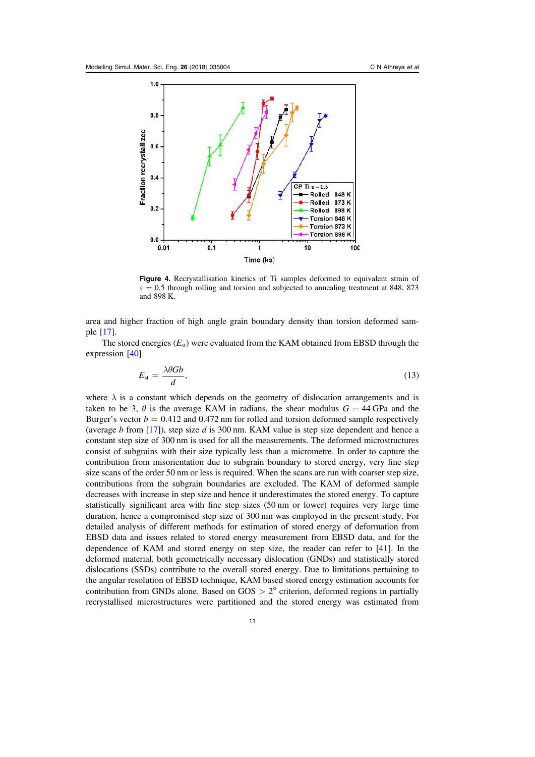

Figure 4. Recrystallisation kinetics of Ti samples deformed to equivalent strain of  $\varepsilon = 0.5$  through rolling and torsion and subjected to annealing treatment at 848, 873 and 898 K.

area and higher fraction of high angle grain boundary density than torsion deformed sample [17].

The stored energies  $(E_{st})$  were evaluated from the KAM obtained from EBSD through the expression [40]

$$
E_{\rm st} = \frac{\lambda \theta G b}{d},\tag{13}
$$

where  $\lambda$  is a constant which depends on the geometry of dislocation arrangements and is taken to be 3,  $\theta$  is the average KAM in radians, the shear modulus  $G = 44$  GPa and the Burger's vector  $b = 0.412$  and  $0.472$  nm for rolled and torsion deformed sample respectively (average *b* from [17]), step size *d* is 300 nm. KAM value is step size dependent and hence a constant step size of 300 nm is used for all the measurements. The deformed microstructures consist of subgrains with their size typically less than a micrometre. In order to capture the contribution from misorientation due to subgrain boundary to stored energy, very fine step size scans of the order 50 nm or less is required. When the scans are run with coarser step size, contributions from the subgrain boundaries are excluded. The KAM of deformed sample decreases with increase in step size and hence it underestimates the stored energy. To capture statistically significant area with fine step sizes (50 nm or lower) requires very large time duration, hence a compromised step size of 300 nm was employed in the present study. For detailed analysis of different methods for estimation of stored energy of deformation from EBSD data and issues related to stored energy measurement from EBSD data, and for the dependence of KAM and stored energy on step size, the reader can refer to [41]. In the deformed material, both geometrically necessary dislocation (GNDs) and statistically stored dislocations (SSDs) contribute to the overall stored energy. Due to limitations pertaining to the angular resolution of EBSD technique, KAM based stored energy estimation accounts for contribution from GNDs alone. Based on  $GOS > 2^\circ$  criterion, deformed regions in partially recrystallised microstructures were partitioned and the stored energy was estimated from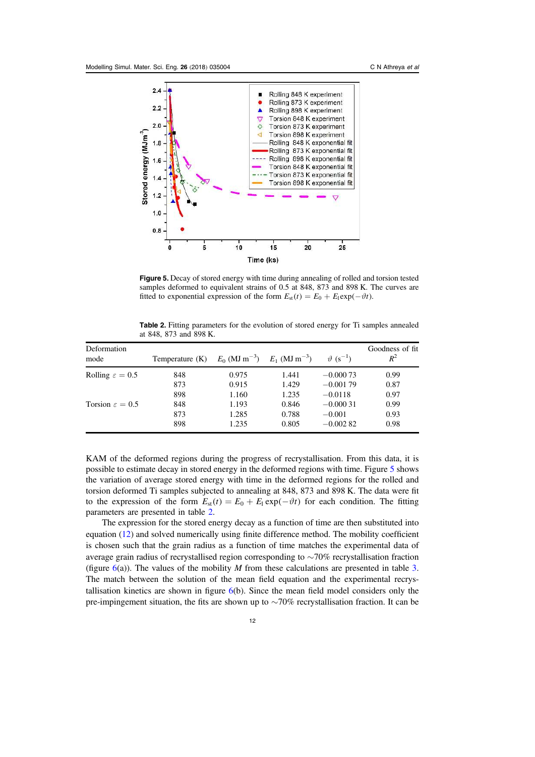

Figure 5. Decay of stored energy with time during annealing of rolled and torsion tested samples deformed to equivalent strains of 0.5 at 848, 873 and 898 K. The curves are fitted to exponential expression of the form  $E_{\text{st}}(t) = E_0 + E_1 \exp(-\vartheta t)$ .

Table 2. Fitting parameters for the evolution of stored energy for Ti samples annealed at 848, 873 and 898 K.

| Deformation<br>mode         | Temperature (K) $E_0$ (MJ m <sup>-3</sup> ) $E_1$ (MJ m <sup>-3</sup> ) |       |       | $\vartheta$ (s <sup>-1</sup> ) | Goodness of fit<br>$R^2$ |
|-----------------------------|-------------------------------------------------------------------------|-------|-------|--------------------------------|--------------------------|
| Rolling $\varepsilon = 0.5$ | 848                                                                     | 0.975 | 1.441 | $-0.00073$                     | 0.99                     |
|                             | 873                                                                     | 0.915 | 1.429 | $-0.00179$                     | 0.87                     |
|                             | 898                                                                     | 1.160 | 1.235 | $-0.0118$                      | 0.97                     |
| Torsion $\varepsilon = 0.5$ | 848                                                                     | 1.193 | 0.846 | $-0.00031$                     | 0.99                     |
|                             | 873                                                                     | 1.285 | 0.788 | $-0.001$                       | 0.93                     |
|                             | 898                                                                     | 1.235 | 0.805 | $-0.00282$                     | 0.98                     |

KAM of the deformed regions during the progress of recrystallisation. From this data, it is possible to estimate decay in stored energy in the deformed regions with time. Figure 5 shows the variation of average stored energy with time in the deformed regions for the rolled and torsion deformed Ti samples subjected to annealing at 848, 873 and 898 K. The data were fit to the expression of the form  $E_{st}(t) = E_0 + E_1 \exp(-\theta t)$  for each condition. The fitting parameters are presented in table 2.

The expression for the stored energy decay as a function of time are then substituted into equation (12) and solved numerically using finite difference method. The mobility coefficient is chosen such that the grain radius as a function of time matches the experimental data of average grain radius of recrystallised region corresponding to ∼70% recrystallisation fraction (figure  $6(a)$ ). The values of the mobility *M* from these calculations are presented in table 3. The match between the solution of the mean field equation and the experimental recrystallisation kinetics are shown in figure  $6(b)$ . Since the mean field model considers only the pre-impingement situation, the fits are shown up to ∼70% recrystallisation fraction. It can be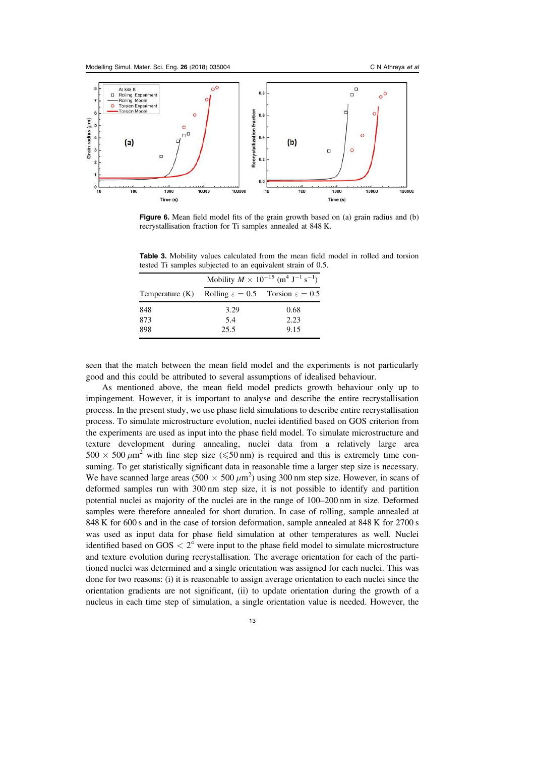

Figure 6. Mean field model fits of the grain growth based on (a) grain radius and (b) recrystallisation fraction for Ti samples annealed at 848 K.

Table 3. Mobility values calculated from the mean field model in rolled and torsion tested Ti samples subjected to an equivalent strain of 0.5.

|            | Mobility $M \times 10^{-15}$ (m <sup>4</sup> J <sup>-1</sup> s <sup>-1</sup> ) |      |  |
|------------|--------------------------------------------------------------------------------|------|--|
|            | Temperature (K) Rolling $\varepsilon = 0.5$ Torsion $\varepsilon = 0.5$        |      |  |
|            | 3.29                                                                           | 0.68 |  |
| 848<br>873 | 5.4                                                                            | 2.23 |  |
| 898        | 25.5                                                                           | 9.15 |  |

seen that the match between the mean field model and the experiments is not particularly good and this could be attributed to several assumptions of idealised behaviour.

As mentioned above, the mean field model predicts growth behaviour only up to impingement. However, it is important to analyse and describe the entire recrystallisation process. In the present study, we use phase field simulations to describe entire recrystallisation process. To simulate microstructure evolution, nuclei identified based on GOS criterion from the experiments are used as input into the phase field model. To simulate microstructure and texture development during annealing, nuclei data from a relatively large area  $500 \times 500 \ \mu m^2$  with fine step size ( $\leq 50 \text{ nm}$ ) is required and this is extremely time consuming. To get statistically significant data in reasonable time a larger step size is necessary. We have scanned large areas (500  $\times$  500  $\mu$ m<sup>2</sup>) using 300 nm step size. However, in scans of deformed samples run with 300 nm step size, it is not possible to identify and partition potential nuclei as majority of the nuclei are in the range of 100–200 nm in size. Deformed samples were therefore annealed for short duration. In case of rolling, sample annealed at 848 K for 600 s and in the case of torsion deformation, sample annealed at 848 K for 2700 s was used as input data for phase field simulation at other temperatures as well. Nuclei identified based on GOS < 2° were input to the phase field model to simulate microstructure and texture evolution during recrystallisation. The average orientation for each of the partitioned nuclei was determined and a single orientation was assigned for each nuclei. This was done for two reasons: (i) it is reasonable to assign average orientation to each nuclei since the orientation gradients are not significant, (ii) to update orientation during the growth of a nucleus in each time step of simulation, a single orientation value is needed. However, the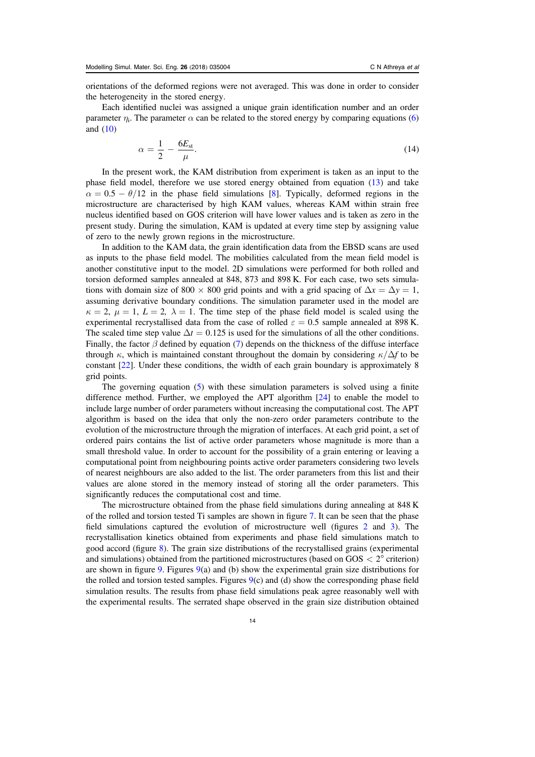orientations of the deformed regions were not averaged. This was done in order to consider the heterogeneity in the stored energy.

Each identified nuclei was assigned a unique grain identification number and an order parameter  $\eta_i$ . The parameter  $\alpha$  can be related to the stored energy by comparing equations (6) and (10)

$$
\alpha = \frac{1}{2} - \frac{6E_{\rm st}}{\mu}.\tag{14}
$$

In the present work, the KAM distribution from experiment is taken as an input to the phase field model, therefore we use stored energy obtained from equation (13) and take  $\alpha = 0.5 - \theta/12$  in the phase field simulations [8]. Typically, deformed regions in the microstructure are characterised by high KAM values, whereas KAM within strain free nucleus identified based on GOS criterion will have lower values and is taken as zero in the present study. During the simulation, KAM is updated at every time step by assigning value of zero to the newly grown regions in the microstructure.

In addition to the KAM data, the grain identification data from the EBSD scans are used as inputs to the phase field model. The mobilities calculated from the mean field model is another constitutive input to the model. 2D simulations were performed for both rolled and torsion deformed samples annealed at 848, 873 and 898 K. For each case, two sets simulations with domain size of 800 × 800 grid points and with a grid spacing of  $\Delta x = \Delta y = 1$ , assuming derivative boundary conditions. The simulation parameter used in the model are  $\kappa = 2$ ,  $\mu = 1$ ,  $L = 2$ ,  $\lambda = 1$ . The time step of the phase field model is scaled using the experimental recrystallised data from the case of rolled  $\varepsilon = 0.5$  sample annealed at 898 K. The scaled time step value  $\Delta t = 0.125$  is used for the simulations of all the other conditions. Finally, the factor  $\beta$  defined by equation (7) depends on the thickness of the diffuse interface through  $\kappa$ , which is maintained constant throughout the domain by considering  $\kappa/\Delta f$  to be constant [22]. Under these conditions, the width of each grain boundary is approximately 8 grid points.

The governing equation (5) with these simulation parameters is solved using a finite difference method. Further, we employed the APT algorithm [24] to enable the model to include large number of order parameters without increasing the computational cost. The APT algorithm is based on the idea that only the non-zero order parameters contribute to the evolution of the microstructure through the migration of interfaces. At each grid point, a set of ordered pairs contains the list of active order parameters whose magnitude is more than a small threshold value. In order to account for the possibility of a grain entering or leaving a computational point from neighbouring points active order parameters considering two levels of nearest neighbours are also added to the list. The order parameters from this list and their values are alone stored in the memory instead of storing all the order parameters. This significantly reduces the computational cost and time.

The microstructure obtained from the phase field simulations during annealing at 848 K of the rolled and torsion tested Ti samples are shown in figure 7. It can be seen that the phase field simulations captured the evolution of microstructure well (figures 2 and 3). The recrystallisation kinetics obtained from experiments and phase field simulations match to good accord (figure 8). The grain size distributions of the recrystallised grains (experimental and simulations) obtained from the partitioned microstructures (based on  $GOS < 2^{\circ}$  criterion) are shown in figure 9. Figures 9(a) and (b) show the experimental grain size distributions for the rolled and torsion tested samples. Figures  $9(c)$  and (d) show the corresponding phase field simulation results. The results from phase field simulations peak agree reasonably well with the experimental results. The serrated shape observed in the grain size distribution obtained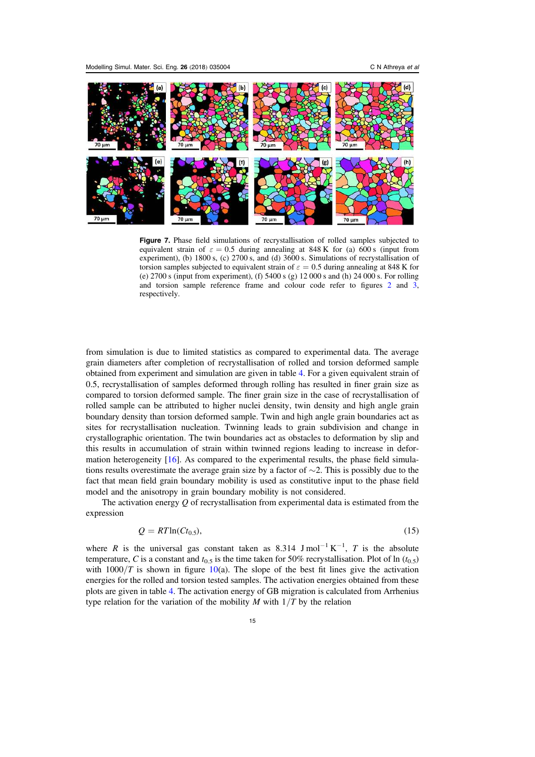

Figure 7. Phase field simulations of recrystallisation of rolled samples subjected to equivalent strain of  $\varepsilon = 0.5$  during annealing at 848 K for (a) 600 s (input from experiment), (b) 1800 s, (c) 2700 s, and (d) 3600 s. Simulations of recrystallisation of torsion samples subjected to equivalent strain of  $\varepsilon = 0.5$  during annealing at 848 K for (e) 2700 s (input from experiment), (f) 5400 s (g) 12 000 s and (h) 24 000 s. For rolling and torsion sample reference frame and colour code refer to figures 2 and 3, respectively.

from simulation is due to limited statistics as compared to experimental data. The average grain diameters after completion of recrystallisation of rolled and torsion deformed sample obtained from experiment and simulation are given in table 4. For a given equivalent strain of 0.5, recrystallisation of samples deformed through rolling has resulted in finer grain size as compared to torsion deformed sample. The finer grain size in the case of recrystallisation of rolled sample can be attributed to higher nuclei density, twin density and high angle grain boundary density than torsion deformed sample. Twin and high angle grain boundaries act as sites for recrystallisation nucleation. Twinning leads to grain subdivision and change in crystallographic orientation. The twin boundaries act as obstacles to deformation by slip and this results in accumulation of strain within twinned regions leading to increase in deformation heterogeneity [16]. As compared to the experimental results, the phase field simulations results overestimate the average grain size by a factor of  $\sim$ 2. This is possibly due to the fact that mean field grain boundary mobility is used as constitutive input to the phase field model and the anisotropy in grain boundary mobility is not considered.

The activation energy *Q* of recrystallisation from experimental data is estimated from the expression

$$
Q = RT\ln(Ct_{0.5}),\tag{15}
$$

where *R* is the universal gas constant taken as 8.314 J mol<sup>-1</sup> K<sup>-1</sup>, *T* is the absolute temperature, *C* is a constant and  $t_{0.5}$  is the time taken for 50% recrystallisation. Plot of ln ( $t_{0.5}$ ) with  $1000/T$  is shown in figure 10(a). The slope of the best fit lines give the activation energies for the rolled and torsion tested samples. The activation energies obtained from these plots are given in table 4. The activation energy of GB migration is calculated from Arrhenius type relation for the variation of the mobility  $M$  with  $1/T$  by the relation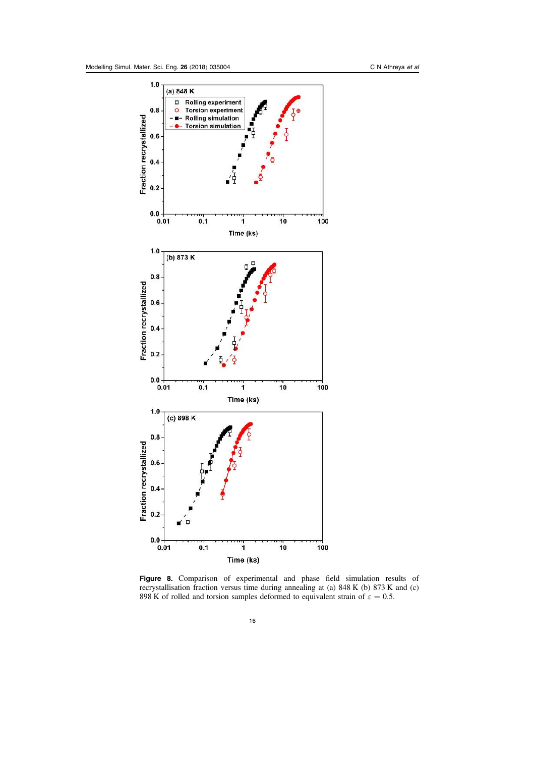

Figure 8. Comparison of experimental and phase field simulation results of recrystallisation fraction versus time during annealing at (a) 848 K (b) 873 K and (c) 898 K of rolled and torsion samples deformed to equivalent strain of  $\varepsilon = 0.5$ .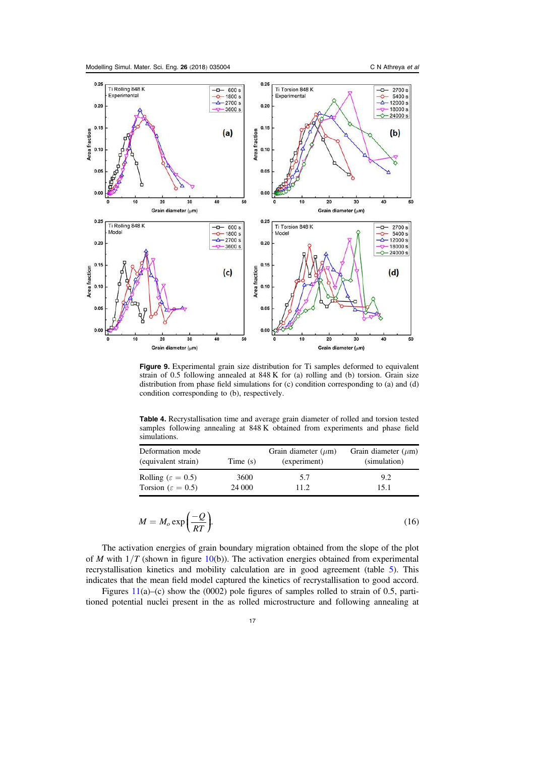

Figure 9. Experimental grain size distribution for Ti samples deformed to equivalent strain of 0.5 following annealed at 848 K for (a) rolling and (b) torsion. Grain size distribution from phase field simulations for (c) condition corresponding to (a) and (d) condition corresponding to (b), respectively.

Table 4. Recrystallisation time and average grain diameter of rolled and torsion tested samples following annealing at 848 K obtained from experiments and phase field simulations.

| Deformation mode                | Time $(s)$ | Grain diameter $(\mu m)$ | Grain diameter $(\mu m)$ |
|---------------------------------|------------|--------------------------|--------------------------|
| (equivalent strain)             |            | (experiment)             | (simulation)             |
| Rolling ( $\varepsilon = 0.5$ ) | 3600       | 5.7                      | 9.2                      |
| Torsion ( $\varepsilon = 0.5$ ) | 24 000     | 11.2.                    | 15.1                     |

$$
M = M_o \exp\left(\frac{-Q}{RT}\right). \tag{16}
$$

The activation energies of grain boundary migration obtained from the slope of the plot of *M* with  $1/T$  (shown in figure 10(b)). The activation energies obtained from experimental recrystallisation kinetics and mobility calculation are in good agreement (table 5). This indicates that the mean field model captured the kinetics of recrystallisation to good accord.

Figures 11(a)–(c) show the (0002) pole figures of samples rolled to strain of 0.5, partitioned potential nuclei present in the as rolled microstructure and following annealing at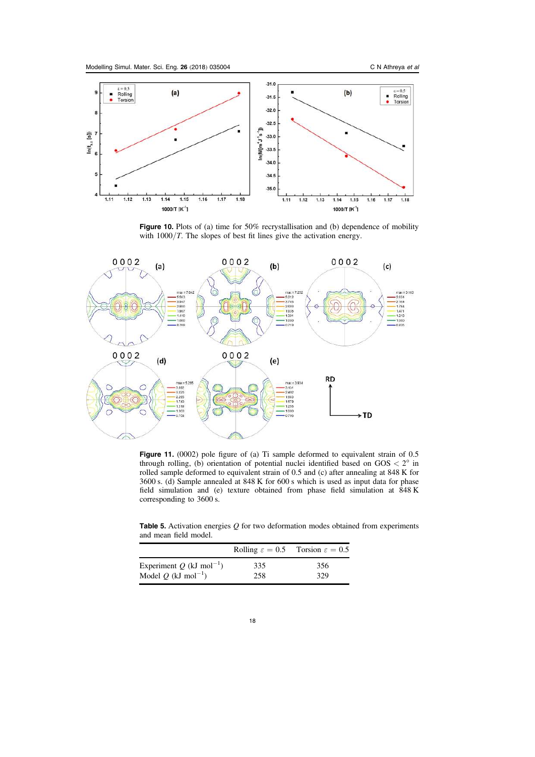

Figure 10. Plots of (a) time for 50% recrystallisation and (b) dependence of mobility with  $1000/T$ . The slopes of best fit lines give the activation energy.



Figure 11. (0002) pole figure of (a) Ti sample deformed to equivalent strain of 0.5 through rolling, (b) orientation of potential nuclei identified based on  $GOS < 2^\circ$  in rolled sample deformed to equivalent strain of 0.5 and (c) after annealing at 848 K for 3600 s. (d) Sample annealed at 848 K for 600 s which is used as input data for phase field simulation and (e) texture obtained from phase field simulation at 848 K corresponding to 3600 s.

Table 5. Activation energies *Q* for two deformation modes obtained from experiments and mean field model.

|                                      |     | Rolling $\varepsilon = 0.5$ Torsion $\varepsilon = 0.5$ |
|--------------------------------------|-----|---------------------------------------------------------|
| Experiment Q (kJ mol <sup>-1</sup> ) | 335 | 356                                                     |
| Model $Q$ (kJ mol <sup>-1</sup> )    | 258 | 329                                                     |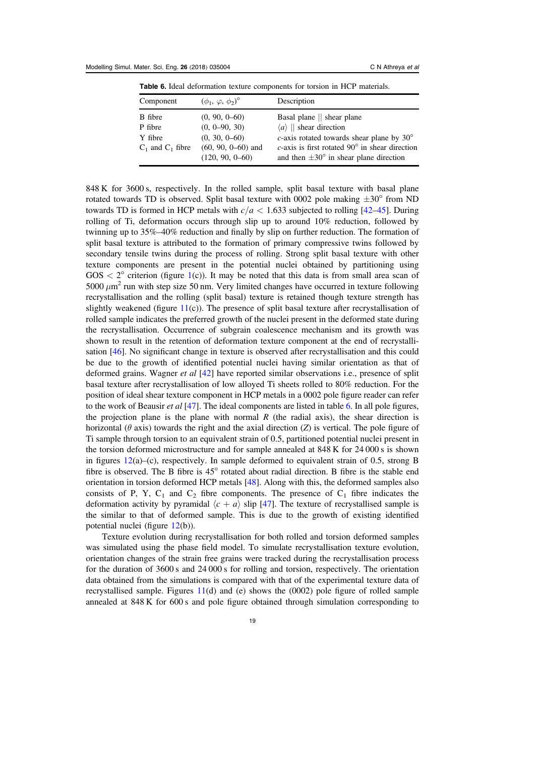| Component             | $(\phi_1, \varphi, \phi_2)^\circ$             | Description                                                                                                      |
|-----------------------|-----------------------------------------------|------------------------------------------------------------------------------------------------------------------|
| B fibre               | $(0, 90, 0 - 60)$                             | Basal plane    shear plane                                                                                       |
| P fibre               | $(0, 0-90, 30)$                               | $\langle a \rangle$    shear direction                                                                           |
| Y fibre               | $(0, 30, 0 - 60)$                             | c-axis rotated towards shear plane by $30^{\circ}$                                                               |
| $C_1$ and $C_1$ fibre | $(60, 90, 0 - 60)$ and<br>$(120, 90, 0 - 60)$ | $c$ -axis is first rotated 90 $\degree$ in shear direction<br>and then $\pm 30^{\circ}$ in shear plane direction |

Table 6. Ideal deformation texture components for torsion in HCP materials.

848 K for 3600 s, respectively. In the rolled sample, split basal texture with basal plane rotated towards TD is observed. Split basal texture with 0002 pole making  $\pm 30^{\circ}$  from ND towards TD is formed in HCP metals with  $c/a < 1.633$  subjected to rolling [42–45]. During rolling of Ti, deformation occurs through slip up to around 10% reduction, followed by twinning up to 35%–40% reduction and finally by slip on further reduction. The formation of split basal texture is attributed to the formation of primary compressive twins followed by secondary tensile twins during the process of rolling. Strong split basal texture with other texture components are present in the potential nuclei obtained by partitioning using  $GOS < 2^{\circ}$  criterion (figure 1(c)). It may be noted that this data is from small area scan of 5000  $\mu$ m<sup>2</sup> run with step size 50 nm. Very limited changes have occurred in texture following recrystallisation and the rolling (split basal) texture is retained though texture strength has slightly weakened (figure 11(c)). The presence of split basal texture after recrystallisation of rolled sample indicates the preferred growth of the nuclei present in the deformed state during the recrystallisation. Occurrence of subgrain coalescence mechanism and its growth was shown to result in the retention of deformation texture component at the end of recrystallisation [46]. No significant change in texture is observed after recrystallisation and this could be due to the growth of identified potential nuclei having similar orientation as that of deformed grains. Wagner *et al* [42] have reported similar observations i.e., presence of split basal texture after recrystallisation of low alloyed Ti sheets rolled to 80% reduction. For the position of ideal shear texture component in HCP metals in a 0002 pole figure reader can refer to the work of Beausir *et al* [47]. The ideal components are listed in table 6. In all pole figures, the projection plane is the plane with normal  $R$  (the radial axis), the shear direction is horizontal ( $\theta$  axis) towards the right and the axial direction (*Z*) is vertical. The pole figure of Ti sample through torsion to an equivalent strain of 0.5, partitioned potential nuclei present in the torsion deformed microstructure and for sample annealed at 848 K for 24 000 s is shown in figures  $12(a)$ –(c), respectively. In sample deformed to equivalent strain of 0.5, strong B fibre is observed. The B fibre is 45° rotated about radial direction. B fibre is the stable end orientation in torsion deformed HCP metals [48]. Along with this, the deformed samples also consists of P, Y,  $C_1$  and  $C_2$  fibre components. The presence of  $C_1$  fibre indicates the deformation activity by pyramidal  $\langle c + a \rangle$  slip [47]. The texture of recrystallised sample is the similar to that of deformed sample. This is due to the growth of existing identified potential nuclei (figure 12(b)).

Texture evolution during recrystallisation for both rolled and torsion deformed samples was simulated using the phase field model. To simulate recrystallisation texture evolution, orientation changes of the strain free grains were tracked during the recrystallisation process for the duration of 3600 s and 24 000 s for rolling and torsion, respectively. The orientation data obtained from the simulations is compared with that of the experimental texture data of recrystallised sample. Figures 11(d) and (e) shows the (0002) pole figure of rolled sample annealed at 848 K for 600 s and pole figure obtained through simulation corresponding to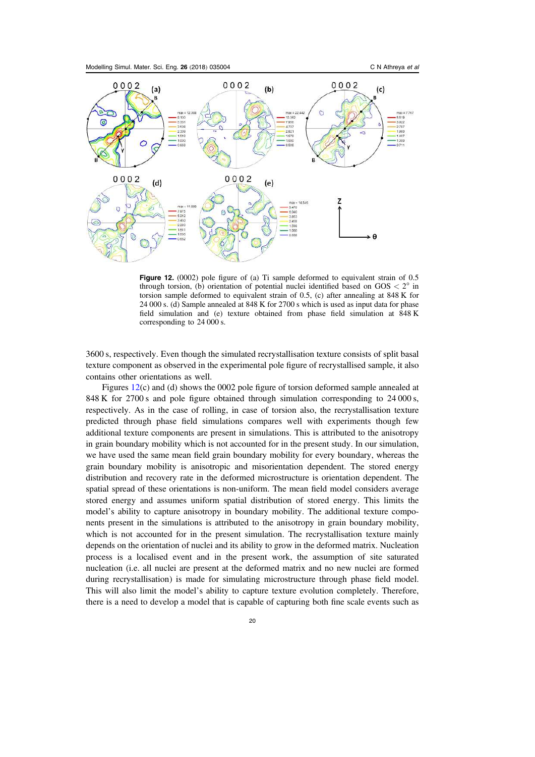

Figure 12. (0002) pole figure of (a) Ti sample deformed to equivalent strain of 0.5 through torsion, (b) orientation of potential nuclei identified based on  $GOS < 2^\circ$  in torsion sample deformed to equivalent strain of 0.5, (c) after annealing at 848 K for 24 000 s. (d) Sample annealed at 848 K for 2700 s which is used as input data for phase field simulation and (e) texture obtained from phase field simulation at 848 K corresponding to 24 000 s.

3600 s, respectively. Even though the simulated recrystallisation texture consists of split basal texture component as observed in the experimental pole figure of recrystallised sample, it also contains other orientations as well.

Figures 12(c) and (d) shows the 0002 pole figure of torsion deformed sample annealed at 848 K for 2700 s and pole figure obtained through simulation corresponding to 24 000 s, respectively. As in the case of rolling, in case of torsion also, the recrystallisation texture predicted through phase field simulations compares well with experiments though few additional texture components are present in simulations. This is attributed to the anisotropy in grain boundary mobility which is not accounted for in the present study. In our simulation, we have used the same mean field grain boundary mobility for every boundary, whereas the grain boundary mobility is anisotropic and misorientation dependent. The stored energy distribution and recovery rate in the deformed microstructure is orientation dependent. The spatial spread of these orientations is non-uniform. The mean field model considers average stored energy and assumes uniform spatial distribution of stored energy. This limits the model's ability to capture anisotropy in boundary mobility. The additional texture components present in the simulations is attributed to the anisotropy in grain boundary mobility, which is not accounted for in the present simulation. The recrystallisation texture mainly depends on the orientation of nuclei and its ability to grow in the deformed matrix. Nucleation process is a localised event and in the present work, the assumption of site saturated nucleation (i.e. all nuclei are present at the deformed matrix and no new nuclei are formed during recrystallisation) is made for simulating microstructure through phase field model. This will also limit the model's ability to capture texture evolution completely. Therefore, there is a need to develop a model that is capable of capturing both fine scale events such as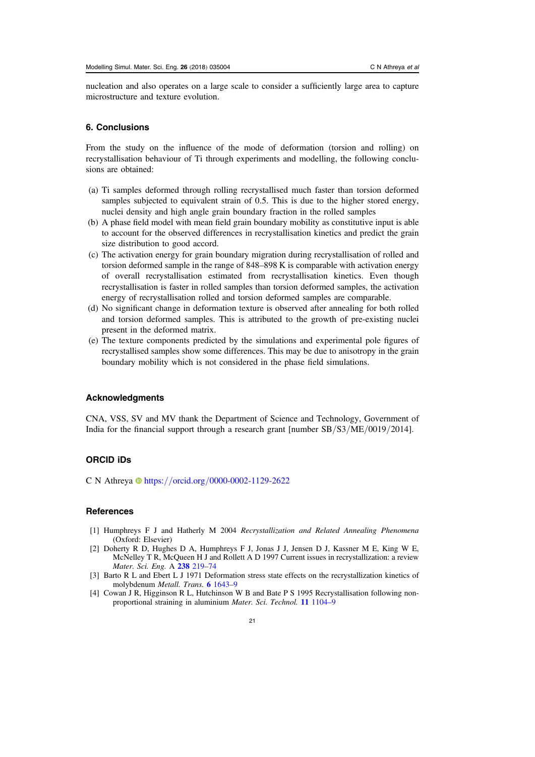nucleation and also operates on a large scale to consider a sufficiently large area to capture microstructure and texture evolution.

#### 6. Conclusions

From the study on the influence of the mode of deformation (torsion and rolling) on recrystallisation behaviour of Ti through experiments and modelling, the following conclusions are obtained:

- (a) Ti samples deformed through rolling recrystallised much faster than torsion deformed samples subjected to equivalent strain of 0.5. This is due to the higher stored energy, nuclei density and high angle grain boundary fraction in the rolled samples
- (b) A phase field model with mean field grain boundary mobility as constitutive input is able to account for the observed differences in recrystallisation kinetics and predict the grain size distribution to good accord.
- (c) The activation energy for grain boundary migration during recrystallisation of rolled and torsion deformed sample in the range of 848–898 K is comparable with activation energy of overall recrystallisation estimated from recrystallisation kinetics. Even though recrystallisation is faster in rolled samples than torsion deformed samples, the activation energy of recrystallisation rolled and torsion deformed samples are comparable.
- (d) No significant change in deformation texture is observed after annealing for both rolled and torsion deformed samples. This is attributed to the growth of pre-existing nuclei present in the deformed matrix.
- (e) The texture components predicted by the simulations and experimental pole figures of recrystallised samples show some differences. This may be due to anisotropy in the grain boundary mobility which is not considered in the phase field simulations.

#### Acknowledgments

CNA, VSS, SV and MV thank the Department of Science and Technology, Government of India for the financial support through a research grant [number SB/S3/ME/0019/2014].

#### ORCID iDs

C N Athreya https://orcid.org/0000-0002-1129-2622

#### References

- [1] Humphreys F J and Hatherly M 2004 *Recrystallization and Related Annealing Phenomena* (Oxford: Elsevier)
- [2] Doherty R D, Hughes D A, Humphreys F J, Jonas J J, Jensen D J, Kassner M E, King W E, McNelley T R, McQueen H J and Rollett A D 1997 Current issues in recrystallization: a review *Mater. Sci. Eng.* A 238 219–74
- [3] Barto R L and Ebert L J 1971 Deformation stress state effects on the recrystallization kinetics of molybdenum *Metall. Trans.* 6 1643–9
- [4] Cowan J R, Higginson R L, Hutchinson W B and Bate P S 1995 Recrystallisation following nonproportional straining in aluminium *Mater. Sci. Technol.* 11 1104–9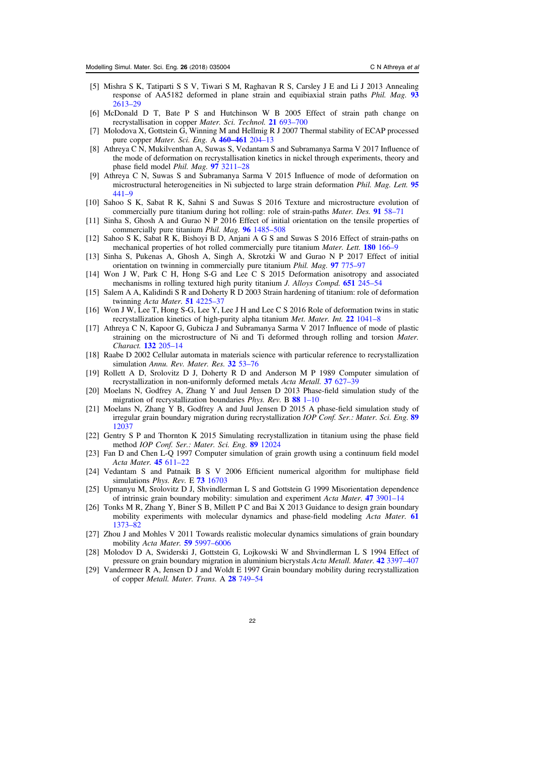- [5] Mishra S K, Tatiparti S S V, Tiwari S M, Raghavan R S, Carsley J E and Li J 2013 Annealing response of AA5182 deformed in plane strain and equibiaxial strain paths *Phil. Mag.* 93 2613–29
- [6] McDonald D T, Bate P S and Hutchinson W B 2005 Effect of strain path change on recrystallisation in copper *Mater. Sci. Technol.* 21 693–700
- [7] Molodova X, Gottstein G, Winning M and Hellmig R J 2007 Thermal stability of ECAP processed pure copper *Mater. Sci. Eng.* A 460–461 204–13
- [8] Athreya C N, Mukilventhan A, Suwas S, Vedantam S and Subramanya Sarma V 2017 Influence of the mode of deformation on recrystallisation kinetics in nickel through experiments, theory and phase field model *Phil. Mag.* 97 3211–28
- [9] Athreya C N, Suwas S and Subramanya Sarma V 2015 Influence of mode of deformation on microstructural heterogeneities in Ni subjected to large strain deformation *Phil. Mag. Lett.* 95 441–9
- [10] Sahoo S K, Sabat R K, Sahni S and Suwas S 2016 Texture and microstructure evolution of commercially pure titanium during hot rolling: role of strain-paths *Mater. Des.* 91 58–71
- [11] Sinha S, Ghosh A and Gurao N P 2016 Effect of initial orientation on the tensile properties of commercially pure titanium *Phil. Mag.* 96 1485–508
- [12] Sahoo S K, Sabat R K, Bishoyi B D, Anjani A G S and Suwas S 2016 Effect of strain-paths on mechanical properties of hot rolled commercially pure titanium *Mater. Lett.* 180 166–9
- [13] Sinha S, Pukenas A, Ghosh A, Singh A, Skrotzki W and Gurao N P 2017 Effect of initial orientation on twinning in commercially pure titanium *Phil. Mag.* 97 775–97
- [14] Won J W, Park C H, Hong S-G and Lee C S 2015 Deformation anisotropy and associated mechanisms in rolling textured high purity titanium *J. Alloys Compd.* 651 245–54
- [15] Salem A A, Kalidindi S R and Doherty R D 2003 Strain hardening of titanium: role of deformation twinning *Acta Mater.* 51 4225–37
- [16] Won J W, Lee T, Hong S-G, Lee Y, Lee J H and Lee C S 2016 Role of deformation twins in static recrystallization kinetics of high-purity alpha titanium *Met. Mater. Int.* 22 1041–8
- [17] Athreya C N, Kapoor G, Gubicza J and Subramanya Sarma V 2017 Influence of mode of plastic straining on the microstructure of Ni and Ti deformed through rolling and torsion *Mater. Charact.* 132 205–14
- [18] Raabe D 2002 Cellular automata in materials science with particular reference to recrystallization simulation *Annu. Rev. Mater. Res.* 32 53–76
- [19] Rollett A D, Srolovitz D J, Doherty R D and Anderson M P 1989 Computer simulation of recrystallization in non-uniformly deformed metals *Acta Metall.* 37 627–39
- [20] Moelans N, Godfrey A, Zhang Y and Juul Jensen D 2013 Phase-field simulation study of the migration of recrystallization boundaries *Phys. Rev.* B 88 1–10
- [21] Moelans N, Zhang Y B, Godfrey A and Juul Jensen D 2015 A phase-field simulation study of irregular grain boundary migration during recrystallization *IOP Conf. Ser.: Mater. Sci. Eng.* 89 12037
- [22] Gentry S P and Thornton K 2015 Simulating recrystallization in titanium using the phase field method *IOP Conf. Ser.: Mater. Sci. Eng.* 89 12024
- [23] Fan D and Chen L-Q 1997 Computer simulation of grain growth using a continuum field model *Acta Mater.* 45 611–22
- [24] Vedantam S and Patnaik B S V 2006 Efficient numerical algorithm for multiphase field simulations *Phys. Rev.* E 73 16703
- [25] Upmanyu M, Srolovitz D J, Shvindlerman L S and Gottstein G 1999 Misorientation dependence of intrinsic grain boundary mobility: simulation and experiment *Acta Mater.* 47 3901–14
- [26] Tonks M R, Zhang Y, Biner S B, Millett P C and Bai X 2013 Guidance to design grain boundary mobility experiments with molecular dynamics and phase-field modeling *Acta Mater.* 61 1373–82
- [27] Zhou J and Mohles V 2011 Towards realistic molecular dynamics simulations of grain boundary mobility *Acta Mater.* 59 5997–6006
- [28] Molodov D A, Swiderski J, Gottstein G, Lojkowski W and Shvindlerman L S 1994 Effect of pressure on grain boundary migration in aluminium bicrystals *Acta Metall. Mater.* 42 3397–407
- [29] Vandermeer R A, Jensen D J and Woldt E 1997 Grain boundary mobility during recrystallization of copper *Metall. Mater. Trans.* A 28 749–54